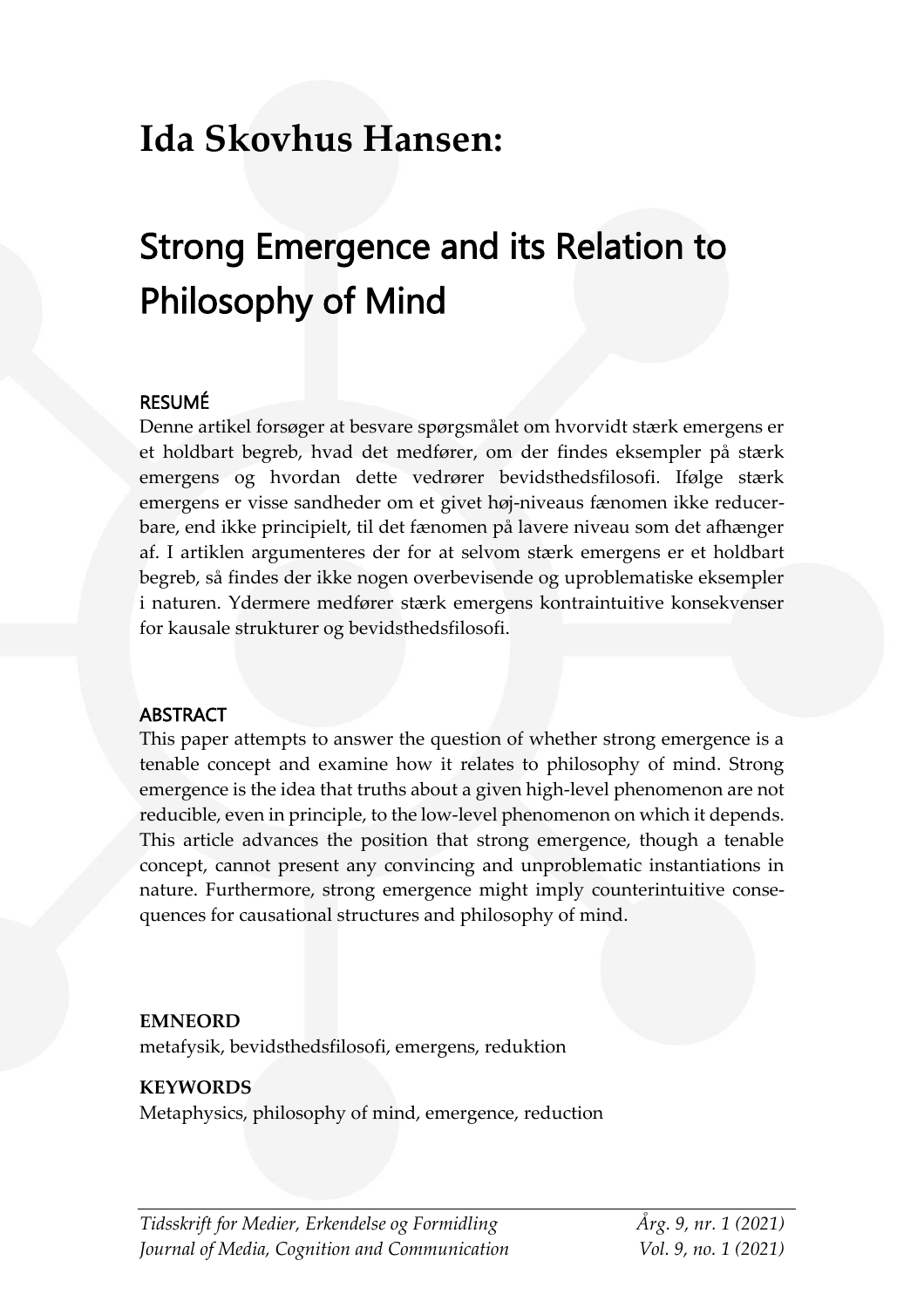# **Ida Skovhus Hansen:**

# Strong Emergence and its Relation to Philosophy of Mind

#### RESUMÉ

Denne artikel forsøger at besvare spørgsmålet om hvorvidt stærk emergens er et holdbart begreb, hvad det medfører, om der findes eksempler på stærk emergens og hvordan dette vedrører bevidsthedsfilosofi. Ifølge stærk emergens er visse sandheder om et givet høj-niveaus fænomen ikke reducerbare, end ikke principielt, til det fænomen på lavere niveau som det afhænger af. I artiklen argumenteres der for at selvom stærk emergens er et holdbart begreb, så findes der ikke nogen overbevisende og uproblematiske eksempler i naturen. Ydermere medfører stærk emergens kontraintuitive konsekvenser for kausale strukturer og bevidsthedsfilosofi.

#### ABSTRACT

This paper attempts to answer the question of whether strong emergence is a tenable concept and examine how it relates to philosophy of mind. Strong emergence is the idea that truths about a given high-level phenomenon are not reducible, even in principle, to the low-level phenomenon on which it depends. This article advances the position that strong emergence, though a tenable concept, cannot present any convincing and unproblematic instantiations in nature. Furthermore, strong emergence might imply counterintuitive consequences for causational structures and philosophy of mind.

#### **EMNEORD**

metafysik, bevidsthedsfilosofi, emergens, reduktion

#### **KEYWORDS**

Metaphysics, philosophy of mind, emergence, reduction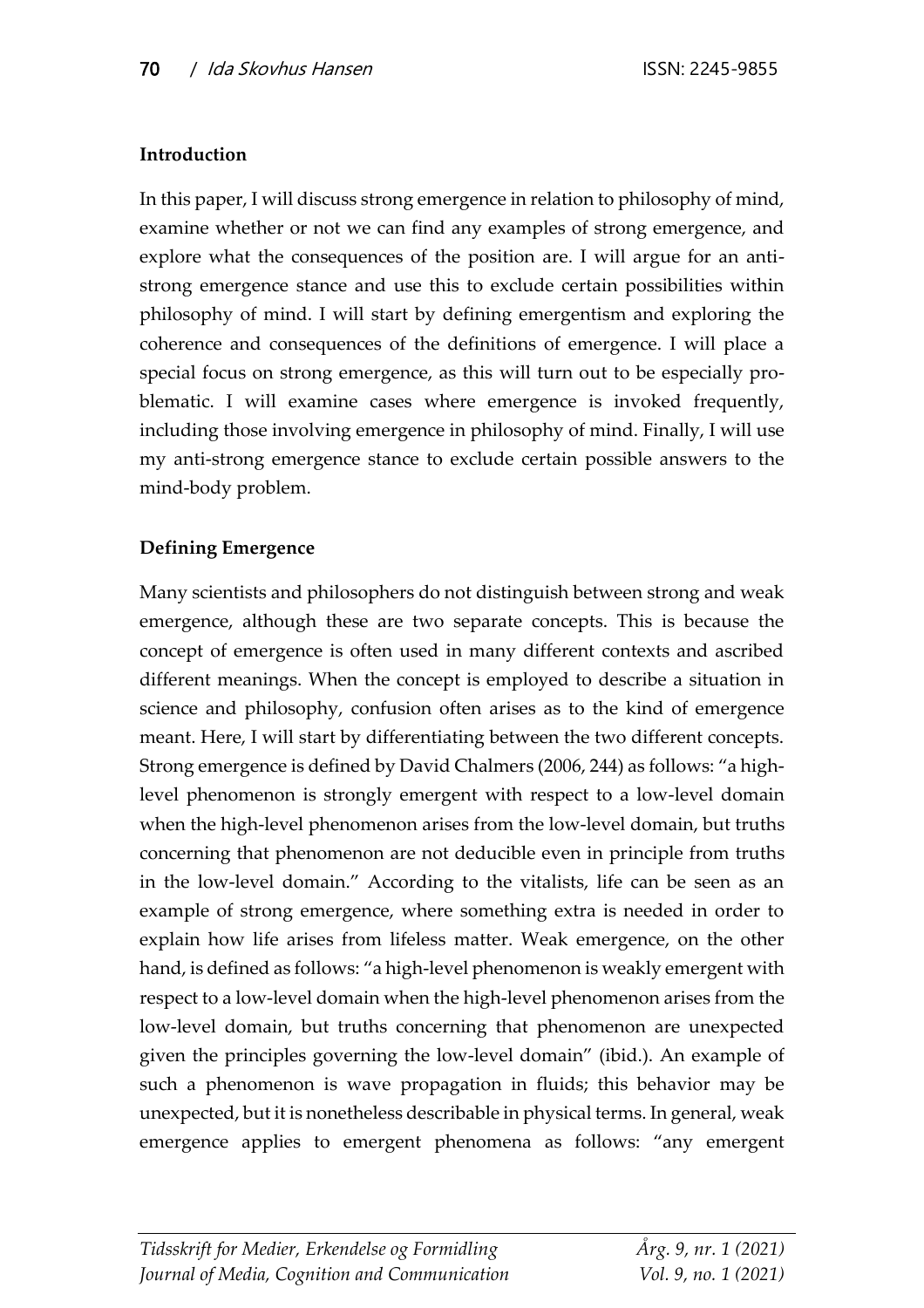## **Introduction**

In this paper, I will discuss strong emergence in relation to philosophy of mind, examine whether or not we can find any examples of strong emergence, and explore what the consequences of the position are. I will argue for an antistrong emergence stance and use this to exclude certain possibilities within philosophy of mind. I will start by defining emergentism and exploring the coherence and consequences of the definitions of emergence. I will place a special focus on strong emergence, as this will turn out to be especially problematic. I will examine cases where emergence is invoked frequently, including those involving emergence in philosophy of mind. Finally, I will use my anti-strong emergence stance to exclude certain possible answers to the mind-body problem.

# **Defining Emergence**

Many scientists and philosophers do not distinguish between strong and weak emergence, although these are two separate concepts. This is because the concept of emergence is often used in many different contexts and ascribed different meanings. When the concept is employed to describe a situation in science and philosophy, confusion often arises as to the kind of emergence meant. Here, I will start by differentiating between the two different concepts. Strong emergence is defined by David Chalmers (2006, 244) as follows: "a highlevel phenomenon is strongly emergent with respect to a low-level domain when the high-level phenomenon arises from the low-level domain, but truths concerning that phenomenon are not deducible even in principle from truths in the low-level domain." According to the vitalists, life can be seen as an example of strong emergence, where something extra is needed in order to explain how life arises from lifeless matter. Weak emergence, on the other hand, is defined as follows: "a high-level phenomenon is weakly emergent with respect to a low-level domain when the high-level phenomenon arises from the low-level domain, but truths concerning that phenomenon are unexpected given the principles governing the low-level domain" (ibid.). An example of such a phenomenon is wave propagation in fluids; this behavior may be unexpected, but it is nonetheless describable in physical terms. In general, weak emergence applies to emergent phenomena as follows: "any emergent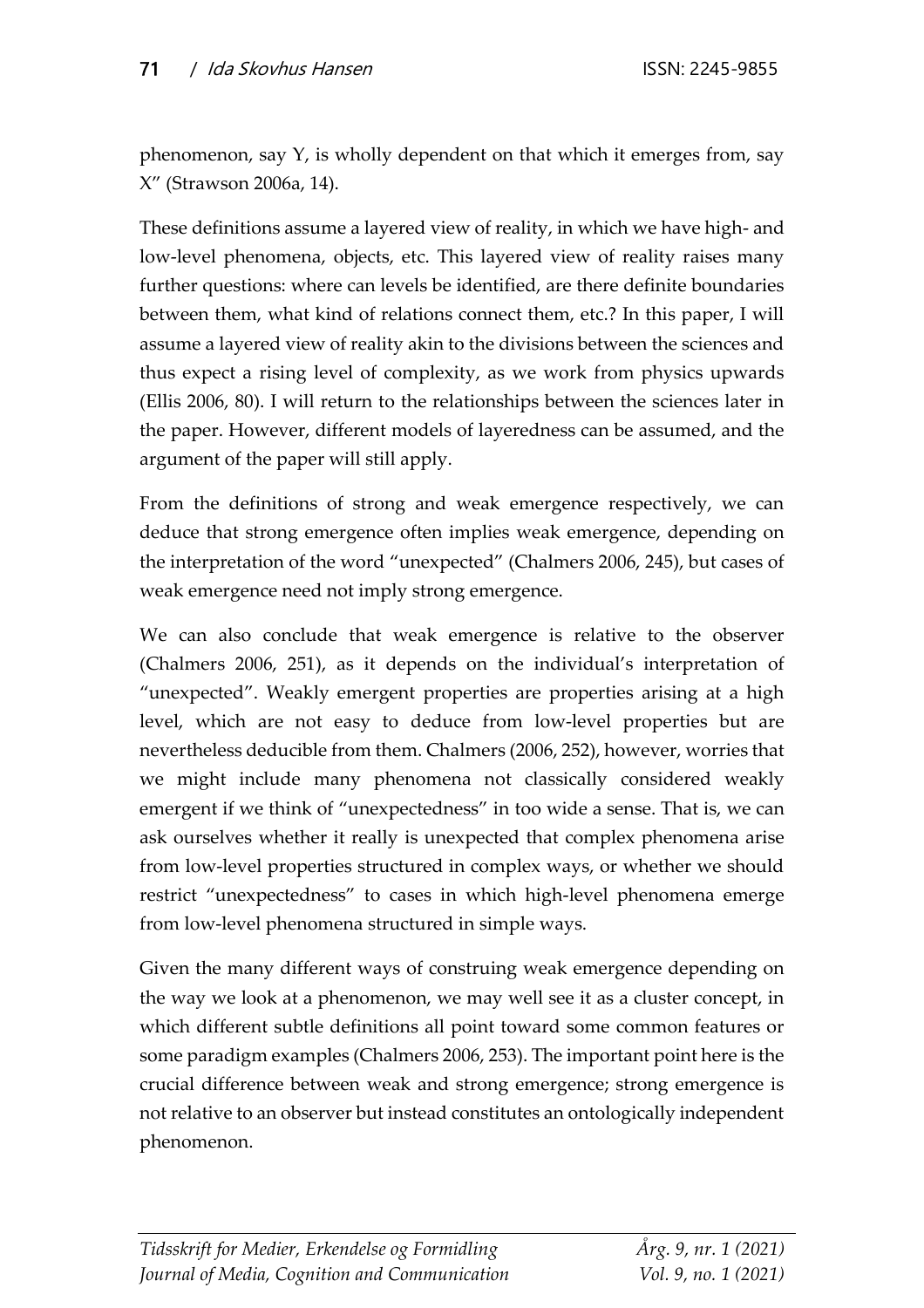phenomenon, say Y, is wholly dependent on that which it emerges from, say X" (Strawson 2006a, 14).

These definitions assume a layered view of reality, in which we have high- and low-level phenomena, objects, etc. This layered view of reality raises many further questions: where can levels be identified, are there definite boundaries between them, what kind of relations connect them, etc.? In this paper, I will assume a layered view of reality akin to the divisions between the sciences and thus expect a rising level of complexity, as we work from physics upwards (Ellis 2006, 80). I will return to the relationships between the sciences later in the paper. However, different models of layeredness can be assumed, and the argument of the paper will still apply.

From the definitions of strong and weak emergence respectively, we can deduce that strong emergence often implies weak emergence, depending on the interpretation of the word "unexpected" (Chalmers 2006, 245), but cases of weak emergence need not imply strong emergence.

We can also conclude that weak emergence is relative to the observer (Chalmers 2006, 251), as it depends on the individual's interpretation of "unexpected". Weakly emergent properties are properties arising at a high level, which are not easy to deduce from low-level properties but are nevertheless deducible from them. Chalmers (2006, 252), however, worries that we might include many phenomena not classically considered weakly emergent if we think of "unexpectedness" in too wide a sense. That is, we can ask ourselves whether it really is unexpected that complex phenomena arise from low-level properties structured in complex ways, or whether we should restrict "unexpectedness" to cases in which high-level phenomena emerge from low-level phenomena structured in simple ways.

Given the many different ways of construing weak emergence depending on the way we look at a phenomenon, we may well see it as a cluster concept, in which different subtle definitions all point toward some common features or some paradigm examples (Chalmers 2006, 253). The important point here is the crucial difference between weak and strong emergence; strong emergence is not relative to an observer but instead constitutes an ontologically independent phenomenon.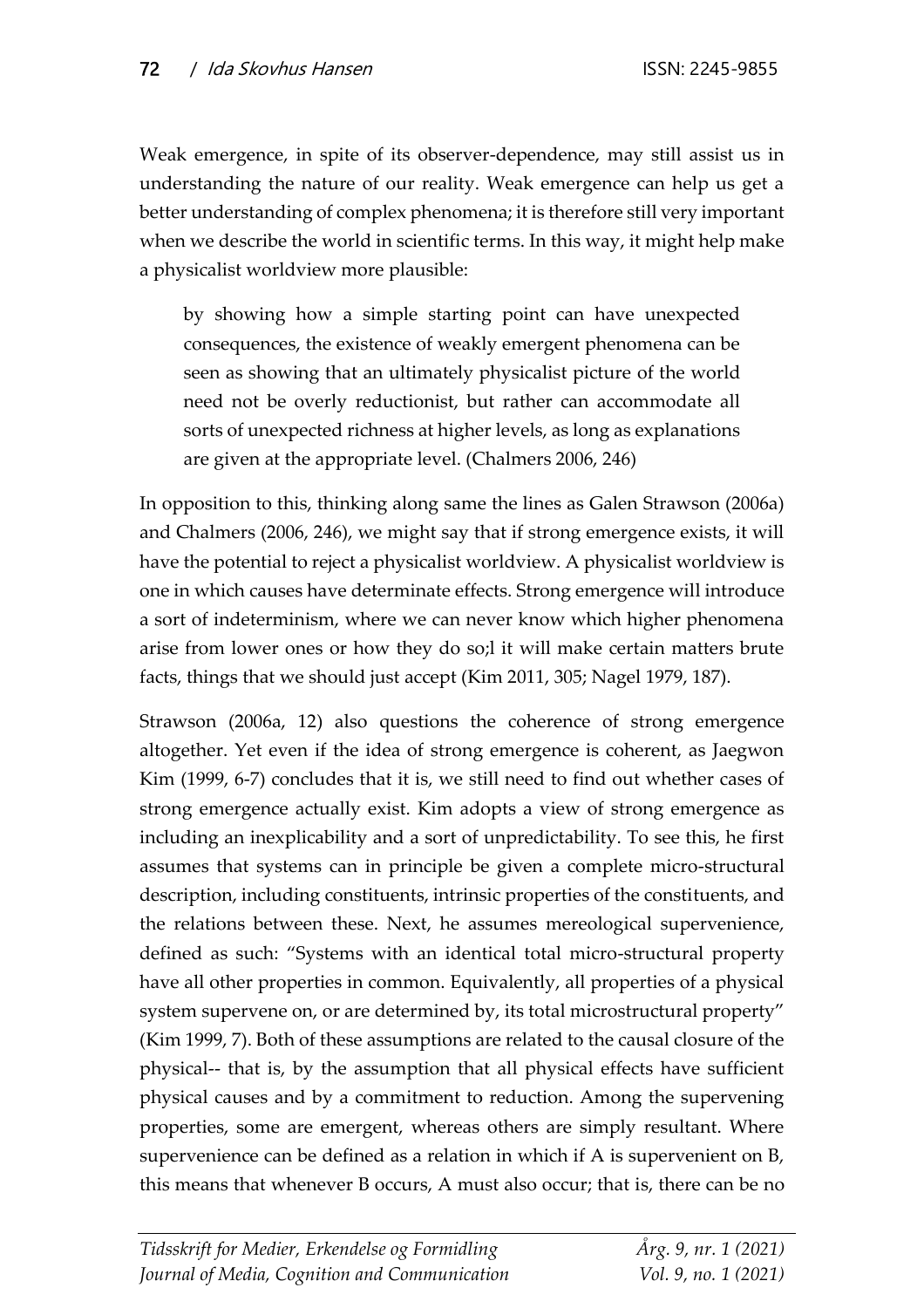Weak emergence, in spite of its observer-dependence, may still assist us in understanding the nature of our reality. Weak emergence can help us get a better understanding of complex phenomena; it is therefore still very important when we describe the world in scientific terms. In this way, it might help make a physicalist worldview more plausible:

by showing how a simple starting point can have unexpected consequences, the existence of weakly emergent phenomena can be seen as showing that an ultimately physicalist picture of the world need not be overly reductionist, but rather can accommodate all sorts of unexpected richness at higher levels, as long as explanations are given at the appropriate level. (Chalmers 2006, 246)

In opposition to this, thinking along same the lines as Galen Strawson (2006a) and Chalmers (2006, 246), we might say that if strong emergence exists, it will have the potential to reject a physicalist worldview. A physicalist worldview is one in which causes have determinate effects. Strong emergence will introduce a sort of indeterminism, where we can never know which higher phenomena arise from lower ones or how they do so;l it will make certain matters brute facts, things that we should just accept (Kim 2011, 305; Nagel 1979, 187).

Strawson (2006a, 12) also questions the coherence of strong emergence altogether. Yet even if the idea of strong emergence is coherent, as Jaegwon Kim (1999, 6-7) concludes that it is, we still need to find out whether cases of strong emergence actually exist. Kim adopts a view of strong emergence as including an inexplicability and a sort of unpredictability. To see this, he first assumes that systems can in principle be given a complete micro-structural description, including constituents, intrinsic properties of the constituents, and the relations between these. Next, he assumes mereological supervenience, defined as such: "Systems with an identical total micro-structural property have all other properties in common. Equivalently, all properties of a physical system supervene on, or are determined by, its total microstructural property" (Kim 1999, 7). Both of these assumptions are related to the causal closure of the physical-- that is, by the assumption that all physical effects have sufficient physical causes and by a commitment to reduction. Among the supervening properties, some are emergent, whereas others are simply resultant. Where supervenience can be defined as a relation in which if A is supervenient on B, this means that whenever B occurs, A must also occur; that is, there can be no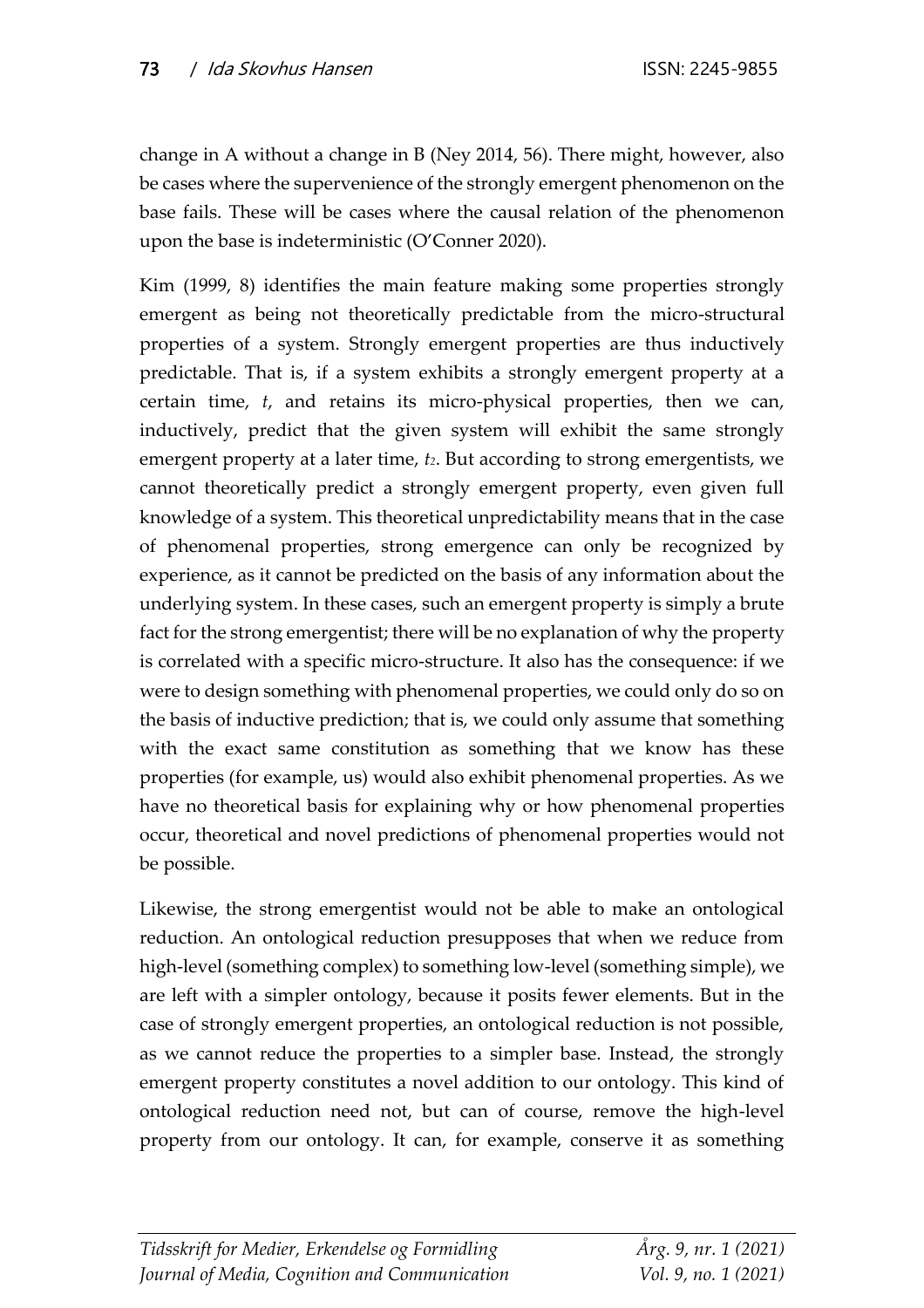change in A without a change in B (Ney 2014, 56). There might, however, also be cases where the supervenience of the strongly emergent phenomenon on the base fails. These will be cases where the causal relation of the phenomenon upon the base is indeterministic (O'Conner 2020).

Kim (1999, 8) identifies the main feature making some properties strongly emergent as being not theoretically predictable from the micro-structural properties of a system. Strongly emergent properties are thus inductively predictable. That is, if a system exhibits a strongly emergent property at a certain time, *t*, and retains its micro-physical properties, then we can, inductively, predict that the given system will exhibit the same strongly emergent property at a later time, *t2*. But according to strong emergentists, we cannot theoretically predict a strongly emergent property, even given full knowledge of a system. This theoretical unpredictability means that in the case of phenomenal properties, strong emergence can only be recognized by experience, as it cannot be predicted on the basis of any information about the underlying system. In these cases, such an emergent property is simply a brute fact for the strong emergentist; there will be no explanation of why the property is correlated with a specific micro-structure. It also has the consequence: if we were to design something with phenomenal properties, we could only do so on the basis of inductive prediction; that is, we could only assume that something with the exact same constitution as something that we know has these properties (for example, us) would also exhibit phenomenal properties. As we have no theoretical basis for explaining why or how phenomenal properties occur, theoretical and novel predictions of phenomenal properties would not be possible.

Likewise, the strong emergentist would not be able to make an ontological reduction. An ontological reduction presupposes that when we reduce from high-level (something complex) to something low-level (something simple), we are left with a simpler ontology, because it posits fewer elements. But in the case of strongly emergent properties, an ontological reduction is not possible, as we cannot reduce the properties to a simpler base. Instead, the strongly emergent property constitutes a novel addition to our ontology. This kind of ontological reduction need not, but can of course, remove the high-level property from our ontology. It can, for example, conserve it as something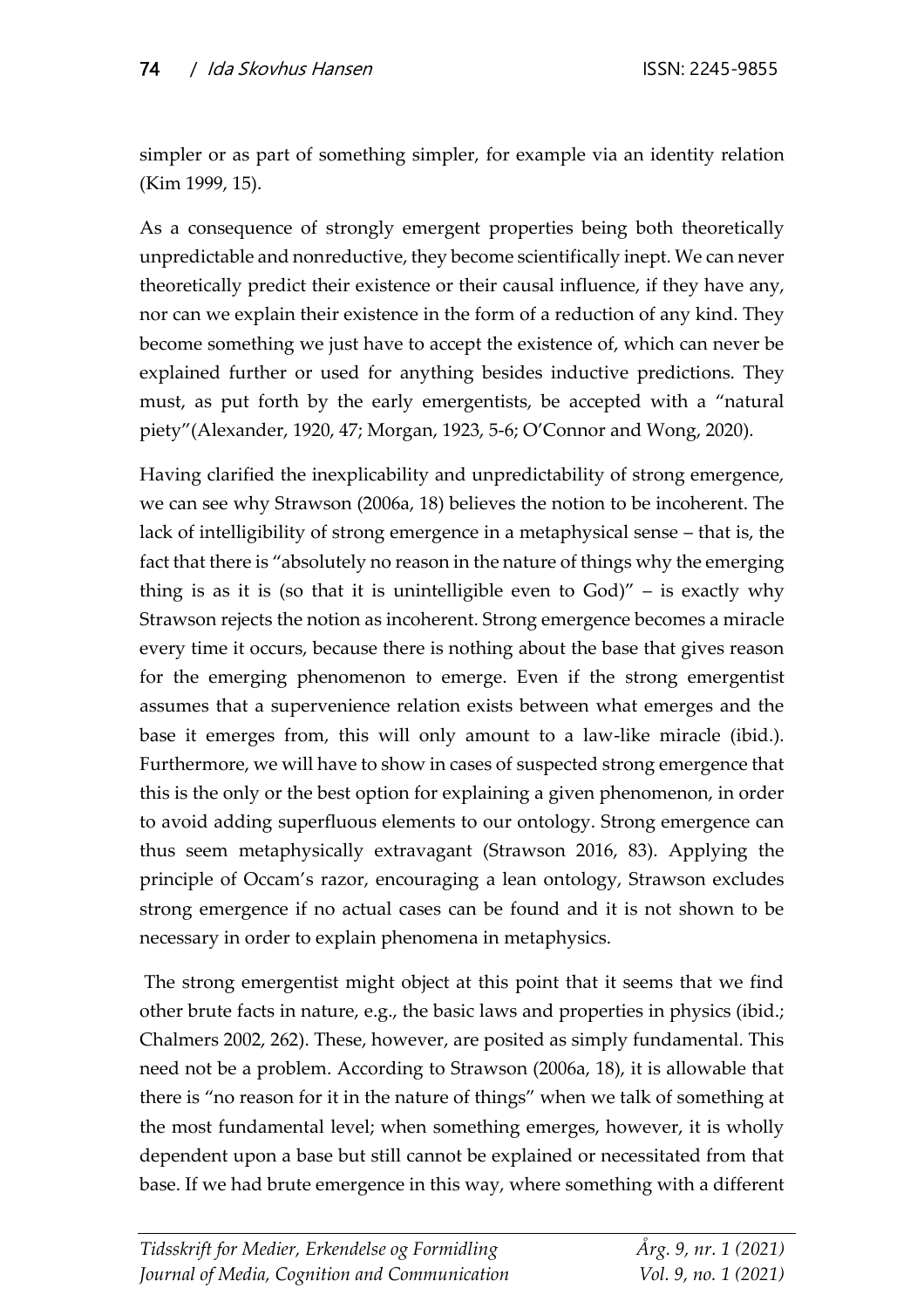simpler or as part of something simpler, for example via an identity relation (Kim 1999, 15).

As a consequence of strongly emergent properties being both theoretically unpredictable and nonreductive, they become scientifically inept. We can never theoretically predict their existence or their causal influence, if they have any, nor can we explain their existence in the form of a reduction of any kind. They become something we just have to accept the existence of, which can never be explained further or used for anything besides inductive predictions. They must, as put forth by the early emergentists, be accepted with a "natural piety"(Alexander, 1920, 47; Morgan, 1923, 5-6; O'Connor and Wong, 2020).

Having clarified the inexplicability and unpredictability of strong emergence, we can see why Strawson (2006a, 18) believes the notion to be incoherent. The lack of intelligibility of strong emergence in a metaphysical sense – that is, the fact that there is "absolutely no reason in the nature of things why the emerging thing is as it is (so that it is unintelligible even to  $God)'' -$  is exactly why Strawson rejects the notion as incoherent. Strong emergence becomes a miracle every time it occurs, because there is nothing about the base that gives reason for the emerging phenomenon to emerge. Even if the strong emergentist assumes that a supervenience relation exists between what emerges and the base it emerges from, this will only amount to a law-like miracle (ibid.). Furthermore, we will have to show in cases of suspected strong emergence that this is the only or the best option for explaining a given phenomenon, in order to avoid adding superfluous elements to our ontology. Strong emergence can thus seem metaphysically extravagant (Strawson 2016, 83). Applying the principle of Occam's razor, encouraging a lean ontology, Strawson excludes strong emergence if no actual cases can be found and it is not shown to be necessary in order to explain phenomena in metaphysics.

The strong emergentist might object at this point that it seems that we find other brute facts in nature, e.g., the basic laws and properties in physics (ibid.; Chalmers 2002, 262). These, however, are posited as simply fundamental. This need not be a problem. According to Strawson (2006a, 18), it is allowable that there is "no reason for it in the nature of things" when we talk of something at the most fundamental level; when something emerges, however, it is wholly dependent upon a base but still cannot be explained or necessitated from that base. If we had brute emergence in this way, where something with a different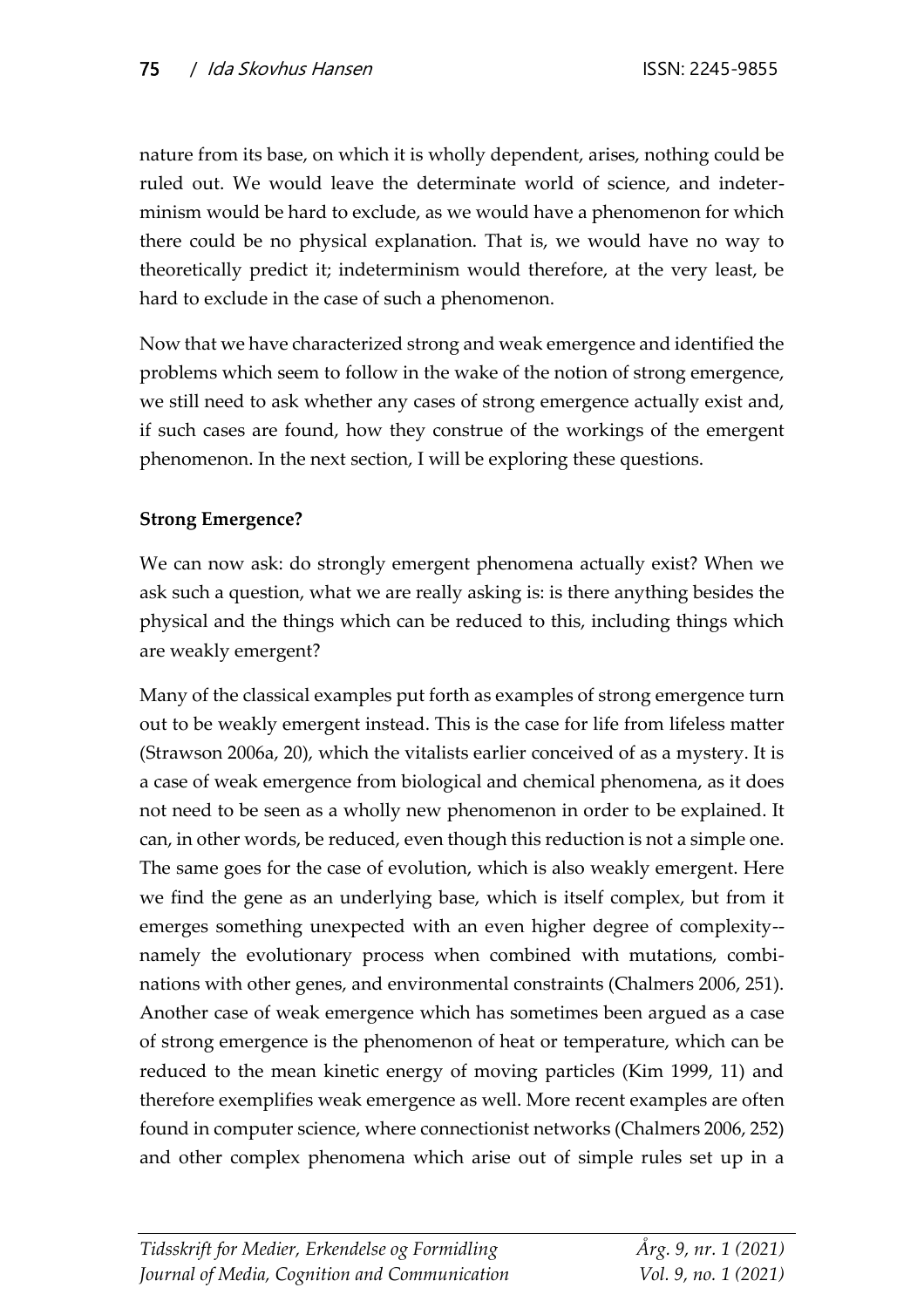nature from its base, on which it is wholly dependent, arises, nothing could be ruled out. We would leave the determinate world of science, and indeterminism would be hard to exclude, as we would have a phenomenon for which there could be no physical explanation. That is, we would have no way to theoretically predict it; indeterminism would therefore, at the very least, be hard to exclude in the case of such a phenomenon.

Now that we have characterized strong and weak emergence and identified the problems which seem to follow in the wake of the notion of strong emergence, we still need to ask whether any cases of strong emergence actually exist and, if such cases are found, how they construe of the workings of the emergent phenomenon. In the next section, I will be exploring these questions.

## **Strong Emergence?**

We can now ask: do strongly emergent phenomena actually exist? When we ask such a question, what we are really asking is: is there anything besides the physical and the things which can be reduced to this, including things which are weakly emergent?

Many of the classical examples put forth as examples of strong emergence turn out to be weakly emergent instead. This is the case for life from lifeless matter (Strawson 2006a, 20), which the vitalists earlier conceived of as a mystery. It is a case of weak emergence from biological and chemical phenomena, as it does not need to be seen as a wholly new phenomenon in order to be explained. It can, in other words, be reduced, even though this reduction is not a simple one. The same goes for the case of evolution, which is also weakly emergent. Here we find the gene as an underlying base, which is itself complex, but from it emerges something unexpected with an even higher degree of complexity- namely the evolutionary process when combined with mutations, combinations with other genes, and environmental constraints (Chalmers 2006, 251). Another case of weak emergence which has sometimes been argued as a case of strong emergence is the phenomenon of heat or temperature, which can be reduced to the mean kinetic energy of moving particles (Kim 1999, 11) and therefore exemplifies weak emergence as well. More recent examples are often found in computer science, where connectionist networks (Chalmers 2006, 252) and other complex phenomena which arise out of simple rules set up in a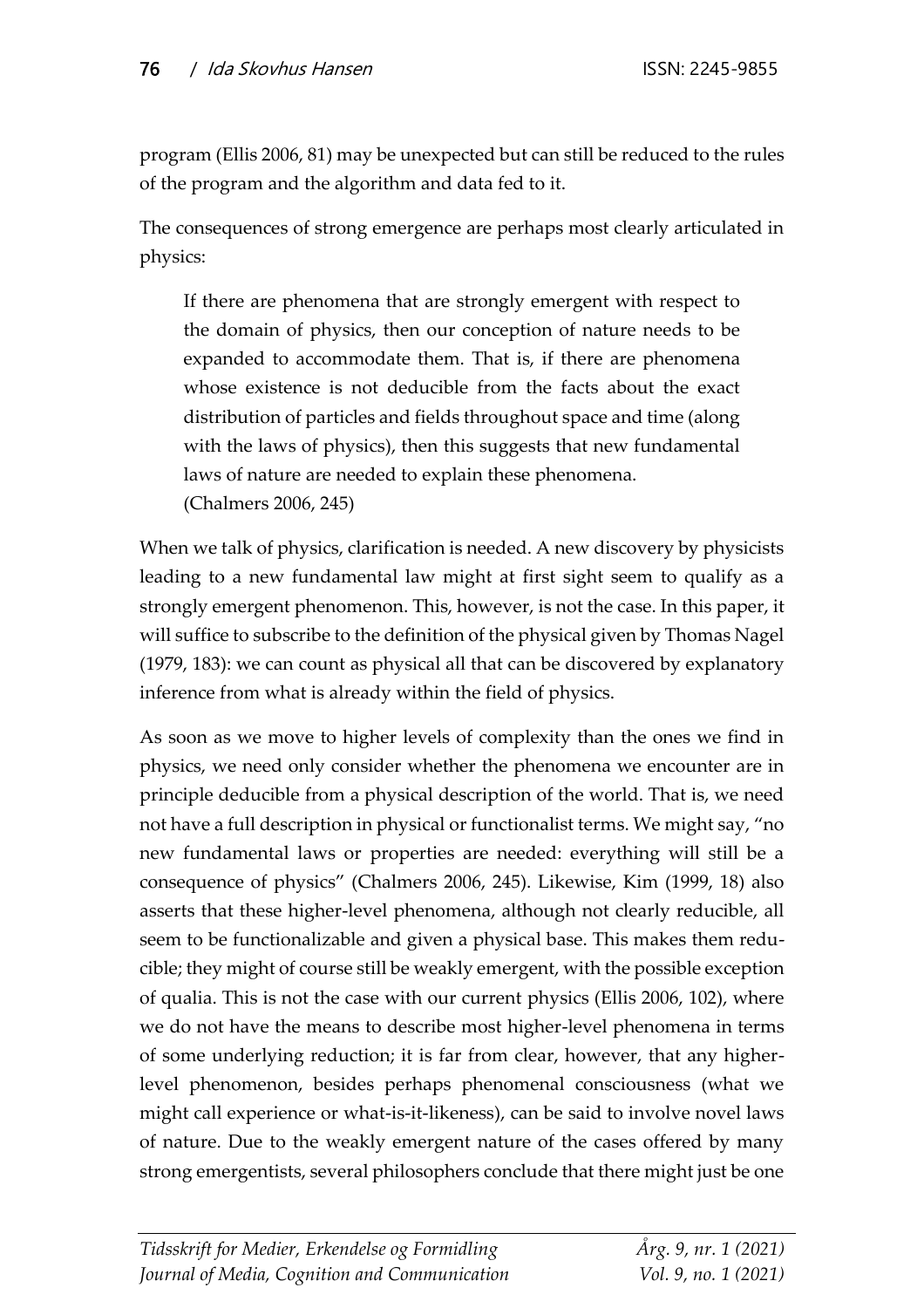program (Ellis 2006, 81) may be unexpected but can still be reduced to the rules of the program and the algorithm and data fed to it.

The consequences of strong emergence are perhaps most clearly articulated in physics:

If there are phenomena that are strongly emergent with respect to the domain of physics, then our conception of nature needs to be expanded to accommodate them. That is, if there are phenomena whose existence is not deducible from the facts about the exact distribution of particles and fields throughout space and time (along with the laws of physics), then this suggests that new fundamental laws of nature are needed to explain these phenomena. (Chalmers 2006, 245)

When we talk of physics, clarification is needed. A new discovery by physicists leading to a new fundamental law might at first sight seem to qualify as a strongly emergent phenomenon. This, however, is not the case. In this paper, it will suffice to subscribe to the definition of the physical given by Thomas Nagel (1979, 183): we can count as physical all that can be discovered by explanatory inference from what is already within the field of physics.

As soon as we move to higher levels of complexity than the ones we find in physics, we need only consider whether the phenomena we encounter are in principle deducible from a physical description of the world. That is, we need not have a full description in physical or functionalist terms. We might say, "no new fundamental laws or properties are needed: everything will still be a consequence of physics" (Chalmers 2006, 245). Likewise, Kim (1999, 18) also asserts that these higher-level phenomena, although not clearly reducible, all seem to be functionalizable and given a physical base. This makes them reducible; they might of course still be weakly emergent, with the possible exception of qualia. This is not the case with our current physics (Ellis 2006, 102), where we do not have the means to describe most higher-level phenomena in terms of some underlying reduction; it is far from clear, however, that any higherlevel phenomenon, besides perhaps phenomenal consciousness (what we might call experience or what-is-it-likeness), can be said to involve novel laws of nature. Due to the weakly emergent nature of the cases offered by many strong emergentists, several philosophers conclude that there might just be one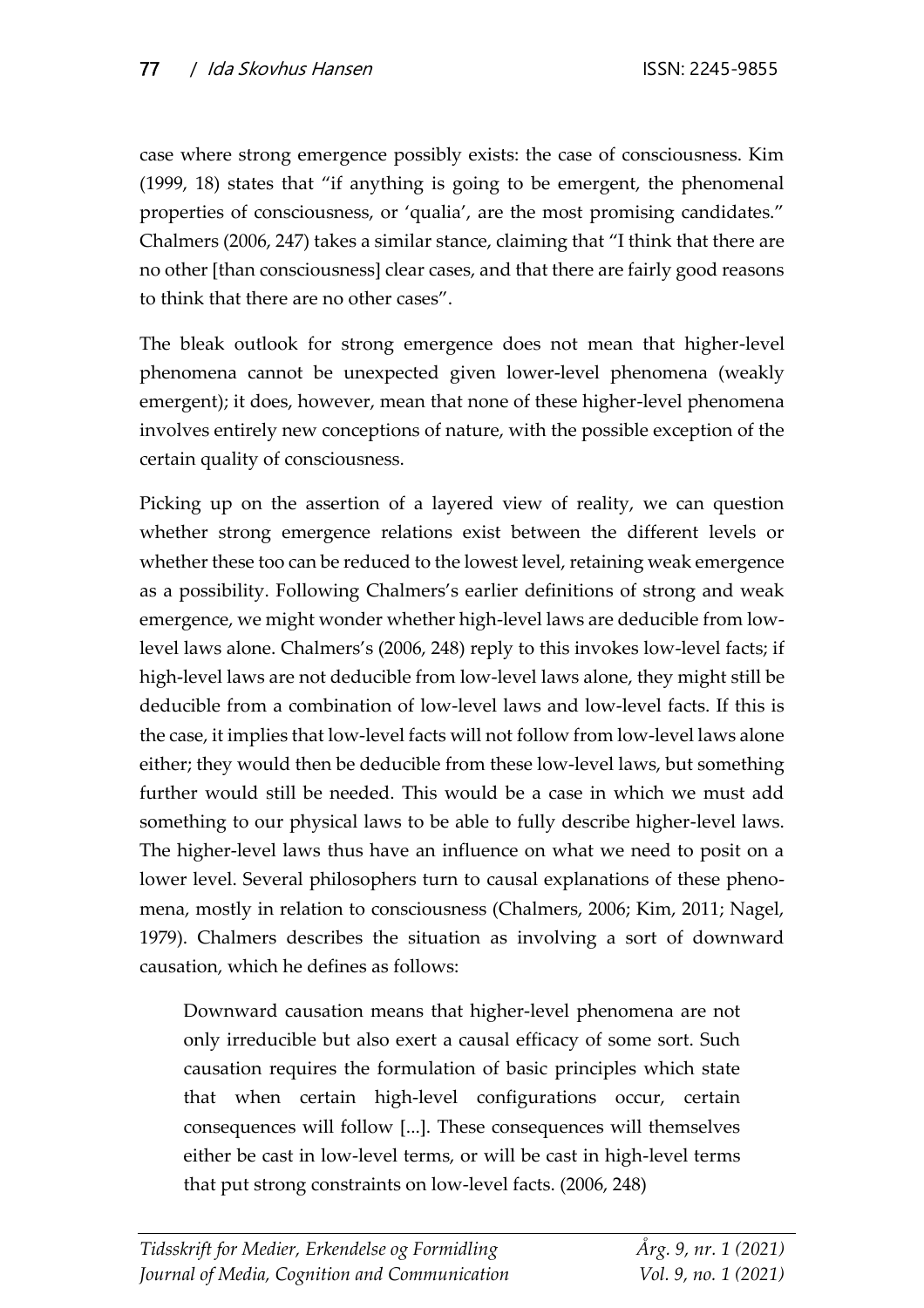case where strong emergence possibly exists: the case of consciousness. Kim (1999, 18) states that "if anything is going to be emergent, the phenomenal properties of consciousness, or 'qualia', are the most promising candidates." Chalmers (2006, 247) takes a similar stance, claiming that "I think that there are no other [than consciousness] clear cases, and that there are fairly good reasons to think that there are no other cases".

The bleak outlook for strong emergence does not mean that higher-level phenomena cannot be unexpected given lower-level phenomena (weakly emergent); it does, however, mean that none of these higher-level phenomena involves entirely new conceptions of nature, with the possible exception of the certain quality of consciousness.

Picking up on the assertion of a layered view of reality, we can question whether strong emergence relations exist between the different levels or whether these too can be reduced to the lowest level, retaining weak emergence as a possibility. Following Chalmers's earlier definitions of strong and weak emergence, we might wonder whether high-level laws are deducible from lowlevel laws alone. Chalmers's (2006, 248) reply to this invokes low-level facts; if high-level laws are not deducible from low-level laws alone, they might still be deducible from a combination of low-level laws and low-level facts. If this is the case, it implies that low-level facts will not follow from low-level laws alone either; they would then be deducible from these low-level laws, but something further would still be needed. This would be a case in which we must add something to our physical laws to be able to fully describe higher-level laws. The higher-level laws thus have an influence on what we need to posit on a lower level. Several philosophers turn to causal explanations of these phenomena, mostly in relation to consciousness (Chalmers, 2006; Kim, 2011; Nagel, 1979). Chalmers describes the situation as involving a sort of downward causation, which he defines as follows:

Downward causation means that higher-level phenomena are not only irreducible but also exert a causal efficacy of some sort. Such causation requires the formulation of basic principles which state that when certain high-level configurations occur, certain consequences will follow [...]. These consequences will themselves either be cast in low-level terms, or will be cast in high-level terms that put strong constraints on low-level facts. (2006, 248)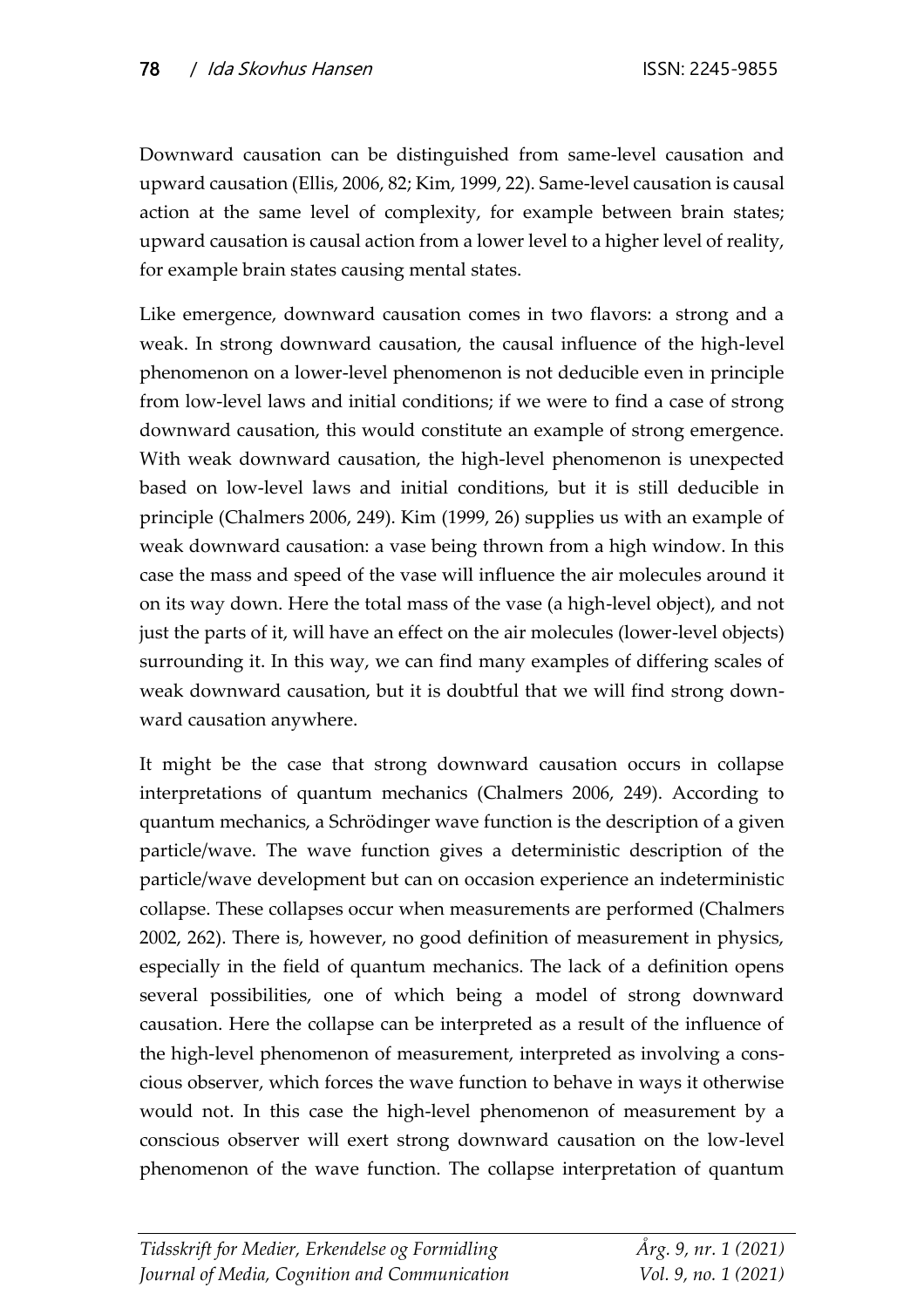Downward causation can be distinguished from same-level causation and upward causation (Ellis, 2006, 82; Kim, 1999, 22). Same-level causation is causal action at the same level of complexity, for example between brain states; upward causation is causal action from a lower level to a higher level of reality, for example brain states causing mental states.

Like emergence, downward causation comes in two flavors: a strong and a weak. In strong downward causation, the causal influence of the high-level phenomenon on a lower-level phenomenon is not deducible even in principle from low-level laws and initial conditions; if we were to find a case of strong downward causation, this would constitute an example of strong emergence. With weak downward causation, the high-level phenomenon is unexpected based on low-level laws and initial conditions, but it is still deducible in principle (Chalmers 2006, 249). Kim (1999, 26) supplies us with an example of weak downward causation: a vase being thrown from a high window. In this case the mass and speed of the vase will influence the air molecules around it on its way down. Here the total mass of the vase (a high-level object), and not just the parts of it, will have an effect on the air molecules (lower-level objects) surrounding it. In this way, we can find many examples of differing scales of weak downward causation, but it is doubtful that we will find strong downward causation anywhere.

It might be the case that strong downward causation occurs in collapse interpretations of quantum mechanics (Chalmers 2006, 249). According to quantum mechanics, a Schrödinger wave function is the description of a given particle/wave. The wave function gives a deterministic description of the particle/wave development but can on occasion experience an indeterministic collapse. These collapses occur when measurements are performed (Chalmers 2002, 262). There is, however, no good definition of measurement in physics, especially in the field of quantum mechanics. The lack of a definition opens several possibilities, one of which being a model of strong downward causation. Here the collapse can be interpreted as a result of the influence of the high-level phenomenon of measurement, interpreted as involving a conscious observer, which forces the wave function to behave in ways it otherwise would not. In this case the high-level phenomenon of measurement by a conscious observer will exert strong downward causation on the low-level phenomenon of the wave function. The collapse interpretation of quantum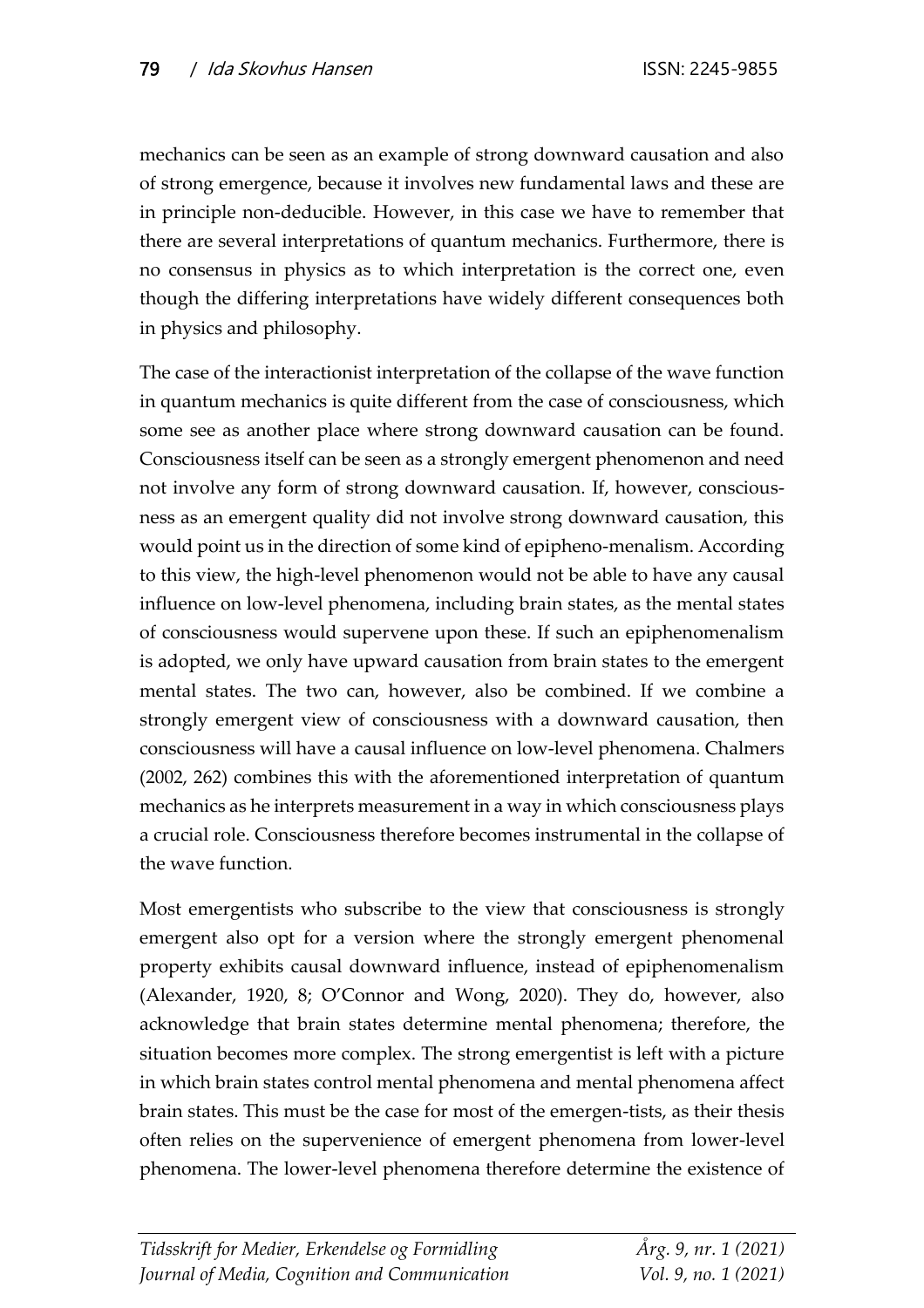mechanics can be seen as an example of strong downward causation and also of strong emergence, because it involves new fundamental laws and these are in principle non-deducible. However, in this case we have to remember that there are several interpretations of quantum mechanics. Furthermore, there is no consensus in physics as to which interpretation is the correct one, even though the differing interpretations have widely different consequences both in physics and philosophy.

The case of the interactionist interpretation of the collapse of the wave function in quantum mechanics is quite different from the case of consciousness, which some see as another place where strong downward causation can be found. Consciousness itself can be seen as a strongly emergent phenomenon and need not involve any form of strong downward causation. If, however, consciousness as an emergent quality did not involve strong downward causation, this would point us in the direction of some kind of epipheno-menalism. According to this view, the high-level phenomenon would not be able to have any causal influence on low-level phenomena, including brain states, as the mental states of consciousness would supervene upon these. If such an epiphenomenalism is adopted, we only have upward causation from brain states to the emergent mental states. The two can, however, also be combined. If we combine a strongly emergent view of consciousness with a downward causation, then consciousness will have a causal influence on low-level phenomena. Chalmers (2002, 262) combines this with the aforementioned interpretation of quantum mechanics as he interprets measurement in a way in which consciousness plays a crucial role. Consciousness therefore becomes instrumental in the collapse of the wave function.

Most emergentists who subscribe to the view that consciousness is strongly emergent also opt for a version where the strongly emergent phenomenal property exhibits causal downward influence, instead of epiphenomenalism (Alexander, 1920, 8; O'Connor and Wong, 2020). They do, however, also acknowledge that brain states determine mental phenomena; therefore, the situation becomes more complex. The strong emergentist is left with a picture in which brain states control mental phenomena and mental phenomena affect brain states. This must be the case for most of the emergen-tists, as their thesis often relies on the supervenience of emergent phenomena from lower-level phenomena. The lower-level phenomena therefore determine the existence of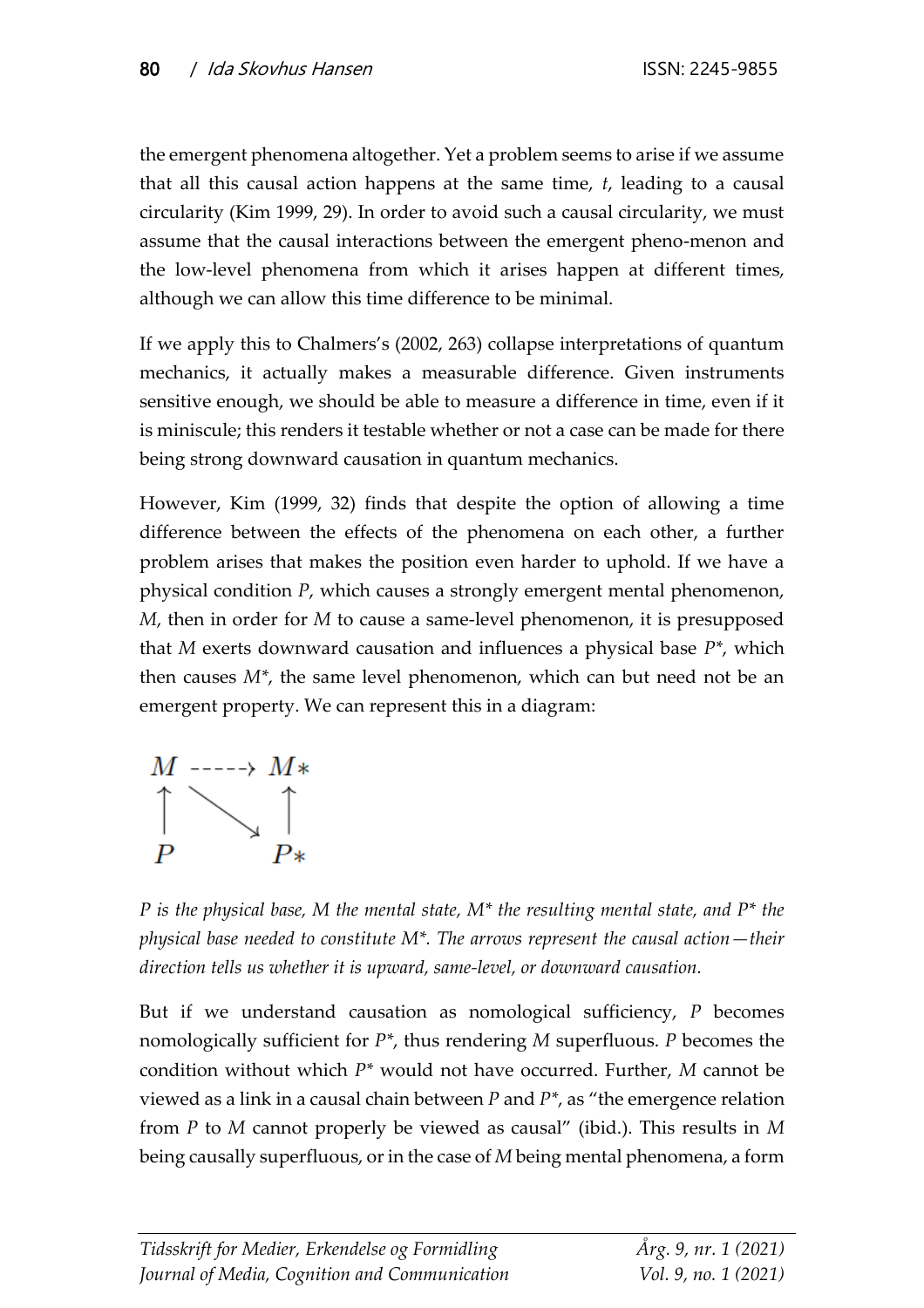the emergent phenomena altogether. Yet a problem seems to arise if we assume that all this causal action happens at the same time, *t*, leading to a causal circularity (Kim 1999, 29). In order to avoid such a causal circularity, we must assume that the causal interactions between the emergent pheno-menon and the low-level phenomena from which it arises happen at different times, although we can allow this time difference to be minimal.

If we apply this to Chalmers's (2002, 263) collapse interpretations of quantum mechanics, it actually makes a measurable difference. Given instruments sensitive enough, we should be able to measure a difference in time, even if it is miniscule; this renders it testable whether or not a case can be made for there being strong downward causation in quantum mechanics.

However, Kim (1999, 32) finds that despite the option of allowing a time difference between the effects of the phenomena on each other, a further problem arises that makes the position even harder to uphold. If we have a physical condition *P*, which causes a strongly emergent mental phenomenon, *M*, then in order for *M* to cause a same-level phenomenon, it is presupposed that *M* exerts downward causation and influences a physical base *P\**, which then causes *M\**, the same level phenomenon, which can but need not be an emergent property. We can represent this in a diagram:



*P is the physical base, M the mental state, M\* the resulting mental state, and P\* the physical base needed to constitute M\*. The arrows represent the causal action—their direction tells us whether it is upward, same-level, or downward causation.*

But if we understand causation as nomological sufficiency, *P* becomes nomologically sufficient for *P\**, thus rendering *M* superfluous. *P* becomes the condition without which *P\** would not have occurred. Further, *M* cannot be viewed as a link in a causal chain between *P* and *P\**, as "the emergence relation from *P* to *M* cannot properly be viewed as causal" (ibid.). This results in *M* being causally superfluous, or in the case of *M* being mental phenomena, a form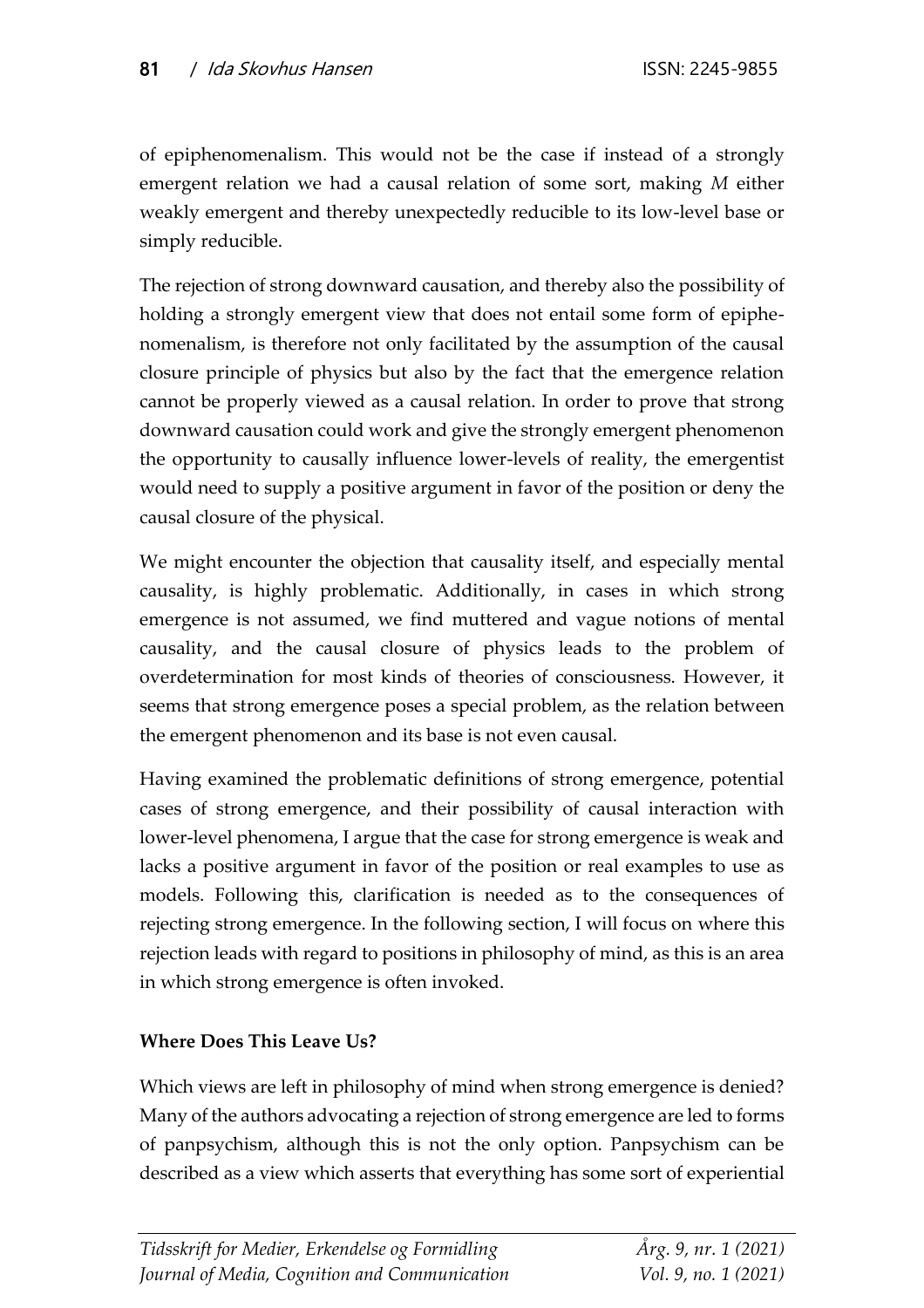of epiphenomenalism. This would not be the case if instead of a strongly emergent relation we had a causal relation of some sort, making *M* either weakly emergent and thereby unexpectedly reducible to its low-level base or simply reducible.

The rejection of strong downward causation, and thereby also the possibility of holding a strongly emergent view that does not entail some form of epiphenomenalism, is therefore not only facilitated by the assumption of the causal closure principle of physics but also by the fact that the emergence relation cannot be properly viewed as a causal relation. In order to prove that strong downward causation could work and give the strongly emergent phenomenon the opportunity to causally influence lower-levels of reality, the emergentist would need to supply a positive argument in favor of the position or deny the causal closure of the physical.

We might encounter the objection that causality itself, and especially mental causality, is highly problematic. Additionally, in cases in which strong emergence is not assumed, we find muttered and vague notions of mental causality, and the causal closure of physics leads to the problem of overdetermination for most kinds of theories of consciousness. However, it seems that strong emergence poses a special problem, as the relation between the emergent phenomenon and its base is not even causal.

Having examined the problematic definitions of strong emergence, potential cases of strong emergence, and their possibility of causal interaction with lower-level phenomena, I argue that the case for strong emergence is weak and lacks a positive argument in favor of the position or real examples to use as models. Following this, clarification is needed as to the consequences of rejecting strong emergence. In the following section, I will focus on where this rejection leads with regard to positions in philosophy of mind, as this is an area in which strong emergence is often invoked.

#### **Where Does This Leave Us?**

Which views are left in philosophy of mind when strong emergence is denied? Many of the authors advocating a rejection of strong emergence are led to forms of panpsychism, although this is not the only option. Panpsychism can be described as a view which asserts that everything has some sort of experiential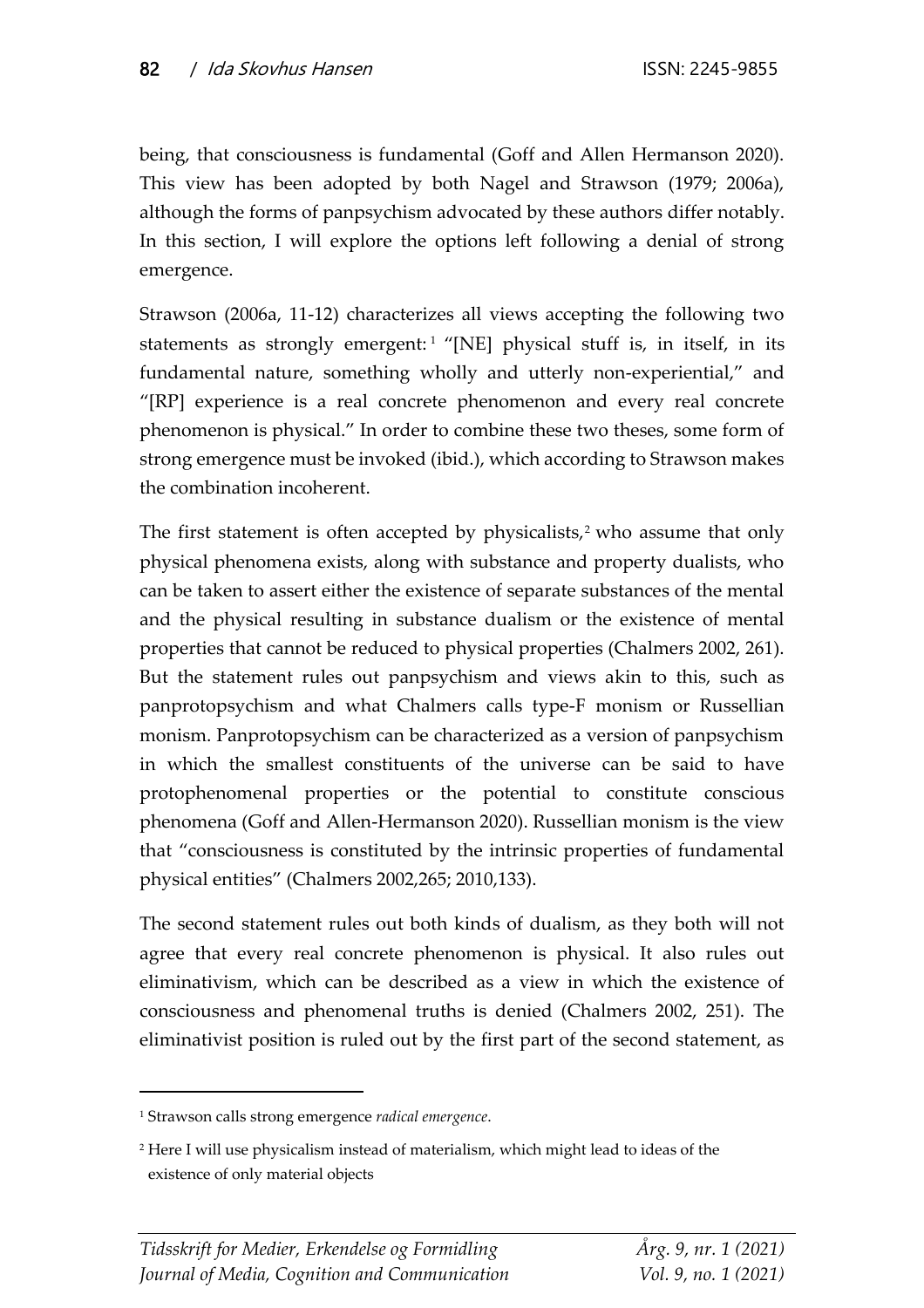being, that consciousness is fundamental (Goff and Allen Hermanson 2020). This view has been adopted by both Nagel and Strawson (1979; 2006a), although the forms of panpsychism advocated by these authors differ notably. In this section, I will explore the options left following a denial of strong emergence.

Strawson (2006a, 11-12) characterizes all views accepting the following two statements as strongly emergent:<sup>1</sup> "[NE] physical stuff is, in itself, in its fundamental nature, something wholly and utterly non-experiential," and "[RP] experience is a real concrete phenomenon and every real concrete phenomenon is physical." In order to combine these two theses, some form of strong emergence must be invoked (ibid.), which according to Strawson makes the combination incoherent.

The first statement is often accepted by physicalists,<sup>2</sup> who assume that only physical phenomena exists, along with substance and property dualists, who can be taken to assert either the existence of separate substances of the mental and the physical resulting in substance dualism or the existence of mental properties that cannot be reduced to physical properties (Chalmers 2002, 261). But the statement rules out panpsychism and views akin to this, such as panprotopsychism and what Chalmers calls type-F monism or Russellian monism. Panprotopsychism can be characterized as a version of panpsychism in which the smallest constituents of the universe can be said to have protophenomenal properties or the potential to constitute conscious phenomena (Goff and Allen-Hermanson 2020). Russellian monism is the view that "consciousness is constituted by the intrinsic properties of fundamental physical entities" (Chalmers 2002,265; 2010,133).

The second statement rules out both kinds of dualism, as they both will not agree that every real concrete phenomenon is physical. It also rules out eliminativism, which can be described as a view in which the existence of consciousness and phenomenal truths is denied (Chalmers 2002, 251). The eliminativist position is ruled out by the first part of the second statement, as

<sup>1</sup> Strawson calls strong emergence *radical emergence*.

<sup>2</sup> Here I will use physicalism instead of materialism, which might lead to ideas of the existence of only material objects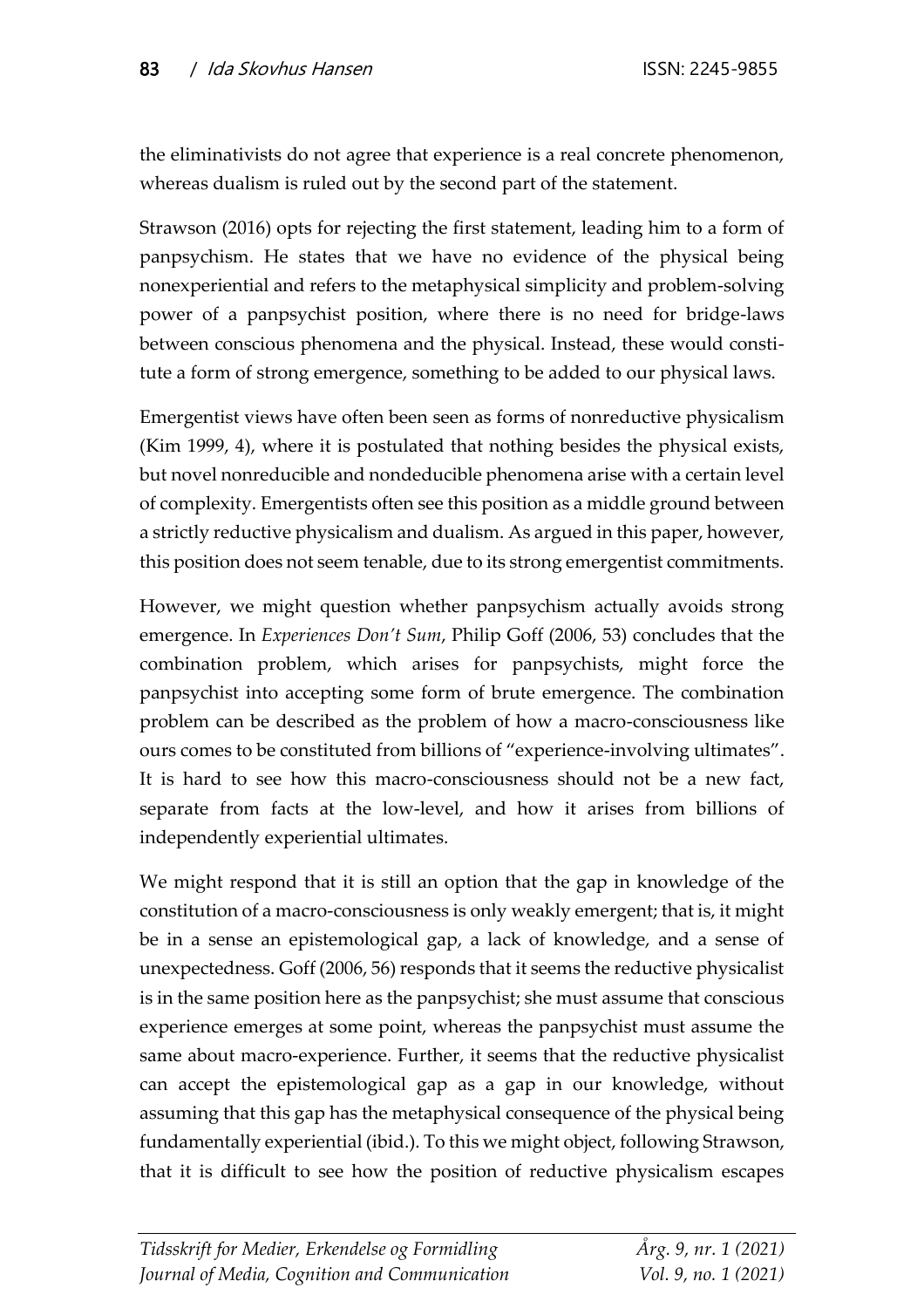the eliminativists do not agree that experience is a real concrete phenomenon, whereas dualism is ruled out by the second part of the statement.

Strawson (2016) opts for rejecting the first statement, leading him to a form of panpsychism. He states that we have no evidence of the physical being nonexperiential and refers to the metaphysical simplicity and problem-solving power of a panpsychist position, where there is no need for bridge-laws between conscious phenomena and the physical. Instead, these would constitute a form of strong emergence, something to be added to our physical laws.

Emergentist views have often been seen as forms of nonreductive physicalism (Kim 1999, 4), where it is postulated that nothing besides the physical exists, but novel nonreducible and nondeducible phenomena arise with a certain level of complexity. Emergentists often see this position as a middle ground between a strictly reductive physicalism and dualism. As argued in this paper, however, this position does not seem tenable, due to its strong emergentist commitments.

However, we might question whether panpsychism actually avoids strong emergence. In *Experiences Don't Sum*, Philip Goff (2006, 53) concludes that the combination problem, which arises for panpsychists, might force the panpsychist into accepting some form of brute emergence. The combination problem can be described as the problem of how a macro-consciousness like ours comes to be constituted from billions of "experience-involving ultimates". It is hard to see how this macro-consciousness should not be a new fact, separate from facts at the low-level, and how it arises from billions of independently experiential ultimates.

We might respond that it is still an option that the gap in knowledge of the constitution of a macro-consciousness is only weakly emergent; that is, it might be in a sense an epistemological gap, a lack of knowledge, and a sense of unexpectedness. Goff (2006, 56) responds that it seems the reductive physicalist is in the same position here as the panpsychist; she must assume that conscious experience emerges at some point, whereas the panpsychist must assume the same about macro-experience. Further, it seems that the reductive physicalist can accept the epistemological gap as a gap in our knowledge, without assuming that this gap has the metaphysical consequence of the physical being fundamentally experiential (ibid.). To this we might object, following Strawson, that it is difficult to see how the position of reductive physicalism escapes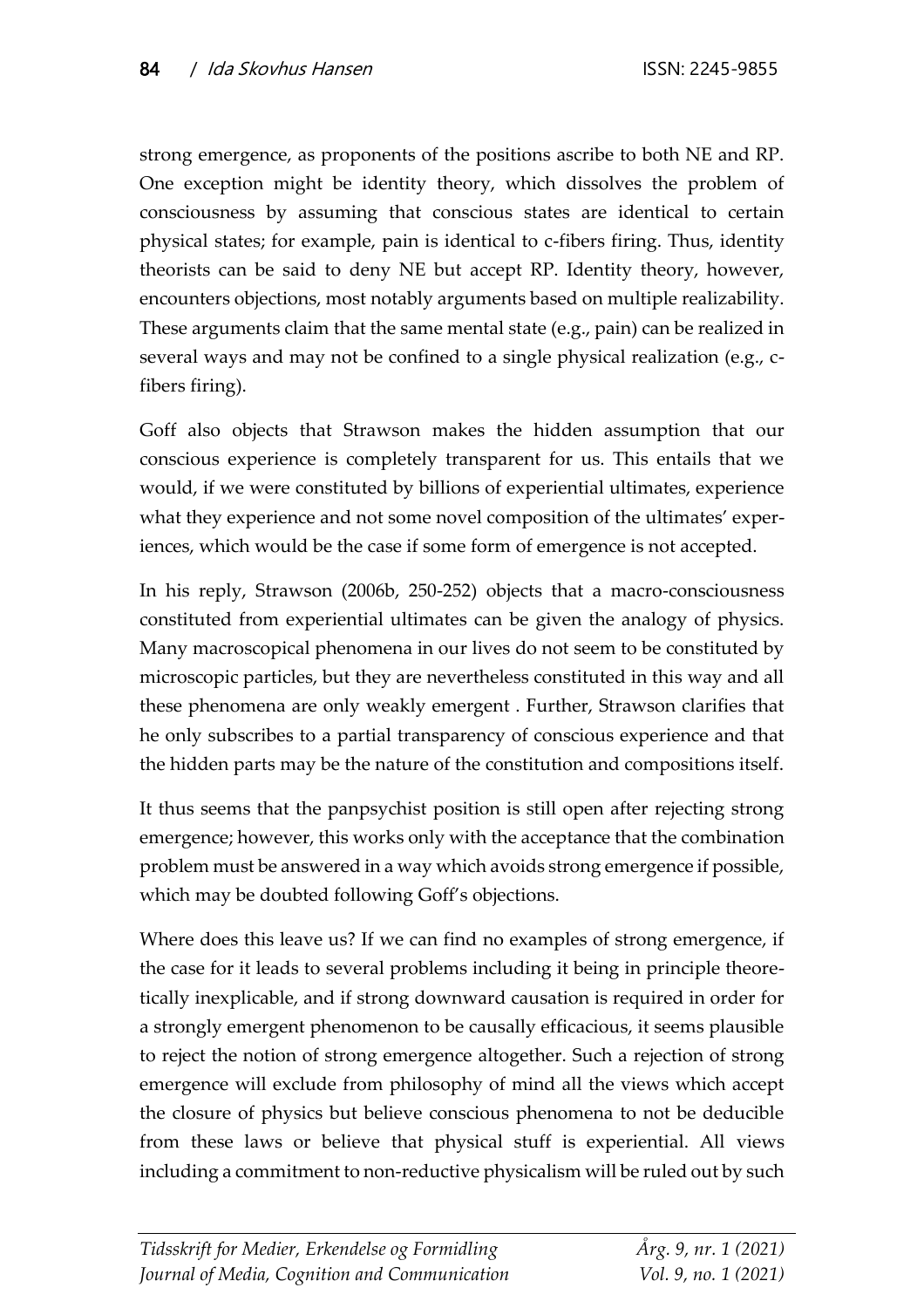strong emergence, as proponents of the positions ascribe to both NE and RP. One exception might be identity theory, which dissolves the problem of consciousness by assuming that conscious states are identical to certain physical states; for example, pain is identical to c-fibers firing. Thus, identity theorists can be said to deny NE but accept RP. Identity theory, however, encounters objections, most notably arguments based on multiple realizability. These arguments claim that the same mental state (e.g., pain) can be realized in several ways and may not be confined to a single physical realization (e.g., cfibers firing).

Goff also objects that Strawson makes the hidden assumption that our conscious experience is completely transparent for us. This entails that we would, if we were constituted by billions of experiential ultimates, experience what they experience and not some novel composition of the ultimates' experiences, which would be the case if some form of emergence is not accepted.

In his reply, Strawson (2006b, 250-252) objects that a macro-consciousness constituted from experiential ultimates can be given the analogy of physics. Many macroscopical phenomena in our lives do not seem to be constituted by microscopic particles, but they are nevertheless constituted in this way and all these phenomena are only weakly emergent . Further, Strawson clarifies that he only subscribes to a partial transparency of conscious experience and that the hidden parts may be the nature of the constitution and compositions itself.

It thus seems that the panpsychist position is still open after rejecting strong emergence; however, this works only with the acceptance that the combination problem must be answered in a way which avoids strong emergence if possible, which may be doubted following Goff's objections.

Where does this leave us? If we can find no examples of strong emergence, if the case for it leads to several problems including it being in principle theoretically inexplicable, and if strong downward causation is required in order for a strongly emergent phenomenon to be causally efficacious, it seems plausible to reject the notion of strong emergence altogether. Such a rejection of strong emergence will exclude from philosophy of mind all the views which accept the closure of physics but believe conscious phenomena to not be deducible from these laws or believe that physical stuff is experiential. All views including a commitment to non-reductive physicalism will be ruled out by such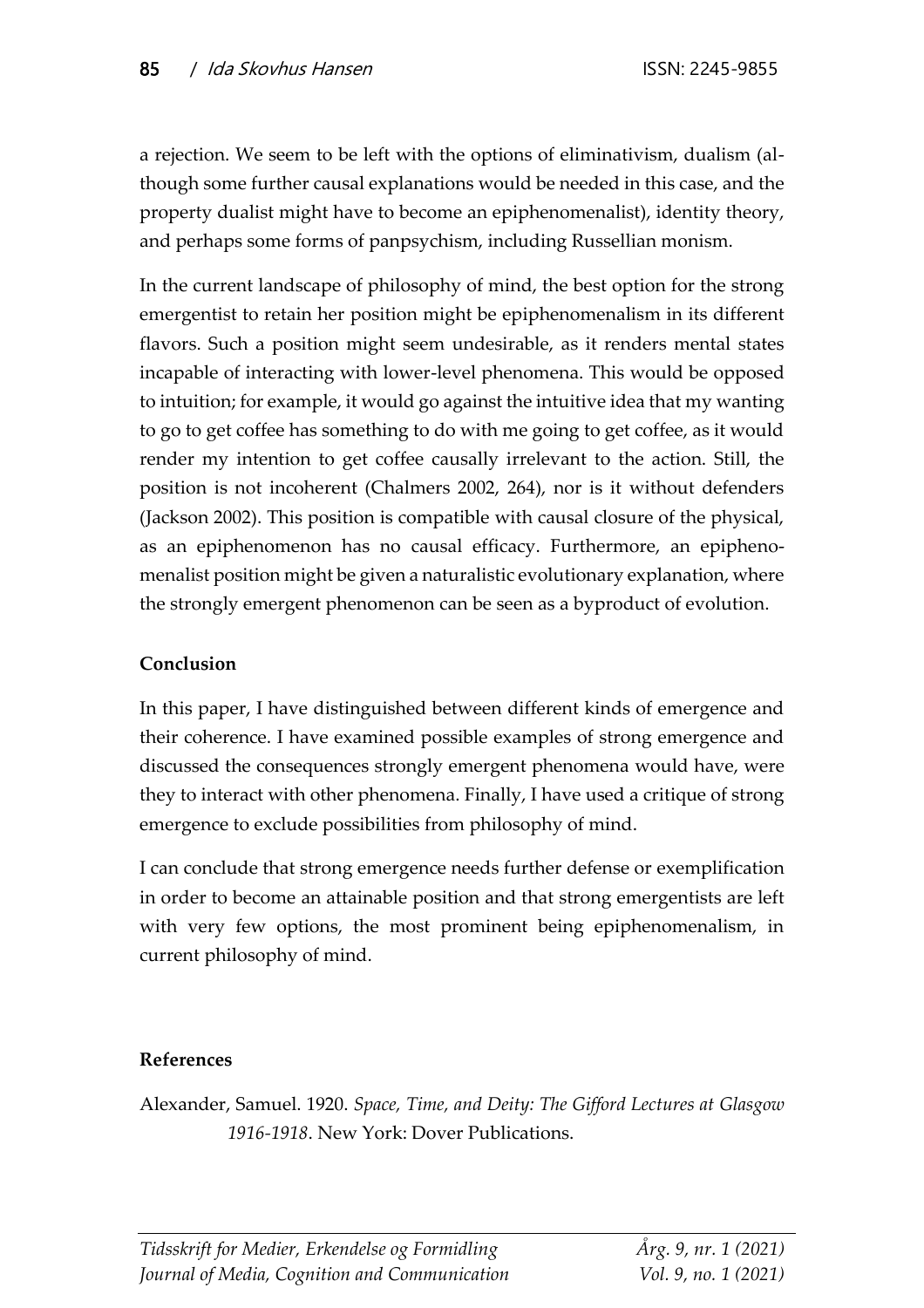a rejection. We seem to be left with the options of eliminativism, dualism (although some further causal explanations would be needed in this case, and the property dualist might have to become an epiphenomenalist), identity theory, and perhaps some forms of panpsychism, including Russellian monism.

In the current landscape of philosophy of mind, the best option for the strong emergentist to retain her position might be epiphenomenalism in its different flavors. Such a position might seem undesirable, as it renders mental states incapable of interacting with lower-level phenomena. This would be opposed to intuition; for example, it would go against the intuitive idea that my wanting to go to get coffee has something to do with me going to get coffee, as it would render my intention to get coffee causally irrelevant to the action. Still, the position is not incoherent (Chalmers 2002, 264), nor is it without defenders (Jackson 2002). This position is compatible with causal closure of the physical, as an epiphenomenon has no causal efficacy. Furthermore, an epiphenomenalist position might be given a naturalistic evolutionary explanation, where the strongly emergent phenomenon can be seen as a byproduct of evolution.

#### **Conclusion**

In this paper, I have distinguished between different kinds of emergence and their coherence. I have examined possible examples of strong emergence and discussed the consequences strongly emergent phenomena would have, were they to interact with other phenomena. Finally, I have used a critique of strong emergence to exclude possibilities from philosophy of mind.

I can conclude that strong emergence needs further defense or exemplification in order to become an attainable position and that strong emergentists are left with very few options, the most prominent being epiphenomenalism, in current philosophy of mind.

# **References**

Alexander, Samuel. 1920. *Space, Time, and Deity: The Gifford Lectures at Glasgow 1916-1918*. New York: Dover Publications.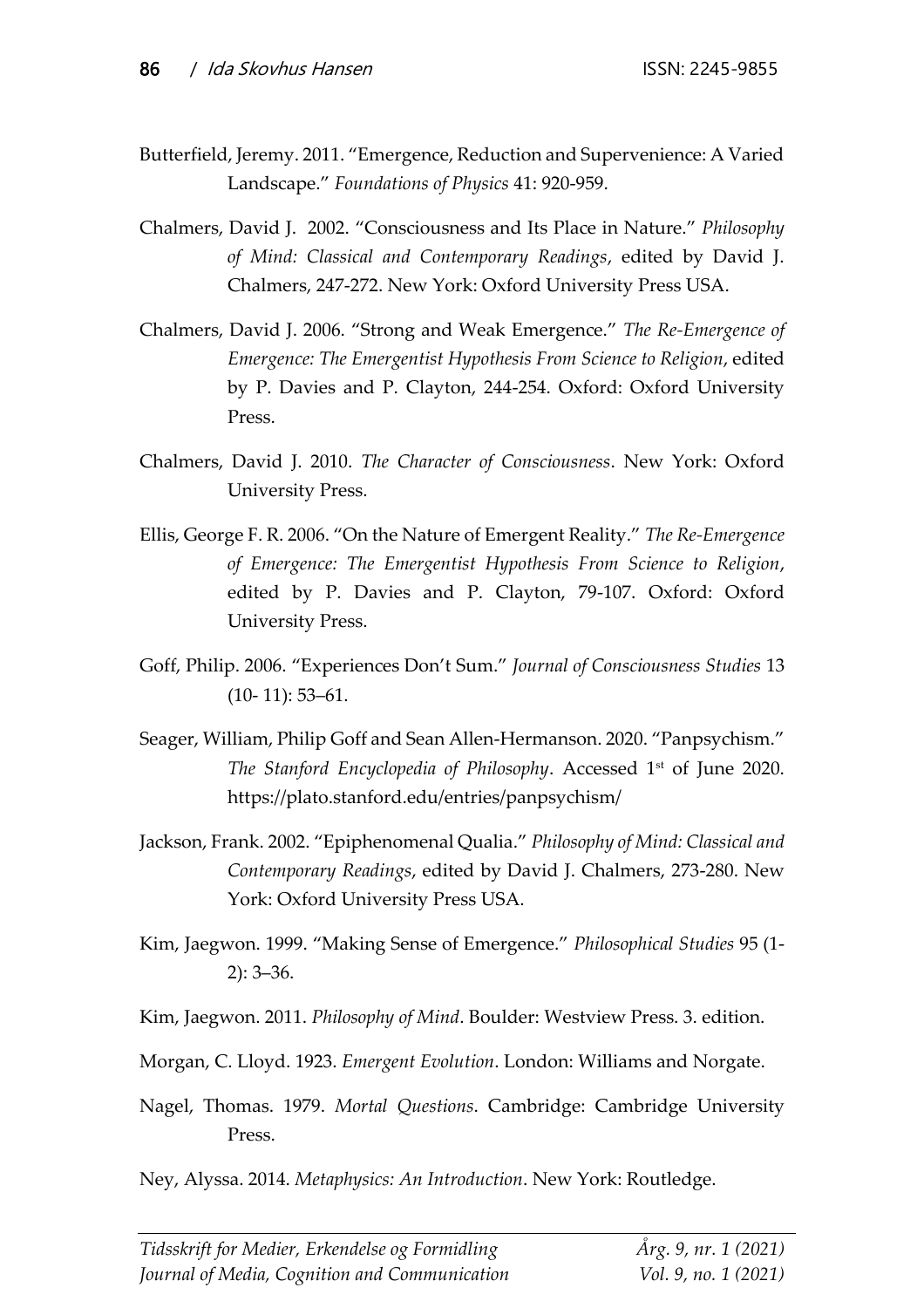- Butterfield, Jeremy. 2011. "Emergence, Reduction and Supervenience: A Varied Landscape." *Foundations of Physics* 41: 920-959.
- Chalmers, David J. 2002. "Consciousness and Its Place in Nature." *Philosophy of Mind: Classical and Contemporary Readings*, edited by David J. Chalmers, 247-272. New York: Oxford University Press USA.
- Chalmers, David J. 2006. "Strong and Weak Emergence." *The Re-Emergence of Emergence: The Emergentist Hypothesis From Science to Religion*, edited by P. Davies and P. Clayton, 244-254. Oxford: Oxford University Press.
- Chalmers, David J. 2010. *The Character of Consciousness*. New York: Oxford University Press.
- Ellis, George F. R. 2006. "On the Nature of Emergent Reality." *The Re-Emergence of Emergence: The Emergentist Hypothesis From Science to Religion*, edited by P. Davies and P. Clayton, 79-107. Oxford: Oxford University Press.
- Goff, Philip. 2006. "Experiences Don't Sum." *Journal of Consciousness Studies* 13  $(10-11): 53-61.$
- Seager, William, Philip Goff and Sean Allen-Hermanson. 2020. "Panpsychism." *The Stanford Encyclopedia of Philosophy*. Accessed 1st of June 2020. https://plato.stanford.edu/entries/panpsychism/
- Jackson, Frank. 2002. "Epiphenomenal Qualia." *Philosophy of Mind: Classical and Contemporary Readings*, edited by David J. Chalmers, 273-280. New York: Oxford University Press USA.
- Kim, Jaegwon. 1999. "Making Sense of Emergence." *Philosophical Studies* 95 (1- 2): 3–36.
- Kim, Jaegwon. 2011. *Philosophy of Mind*. Boulder: Westview Press. 3. edition.
- Morgan, C. Lloyd. 1923. *Emergent Evolution*. London: Williams and Norgate.
- Nagel, Thomas. 1979. *Mortal Questions*. Cambridge: Cambridge University Press.
- Ney, Alyssa. 2014. *Metaphysics: An Introduction*. New York: Routledge.